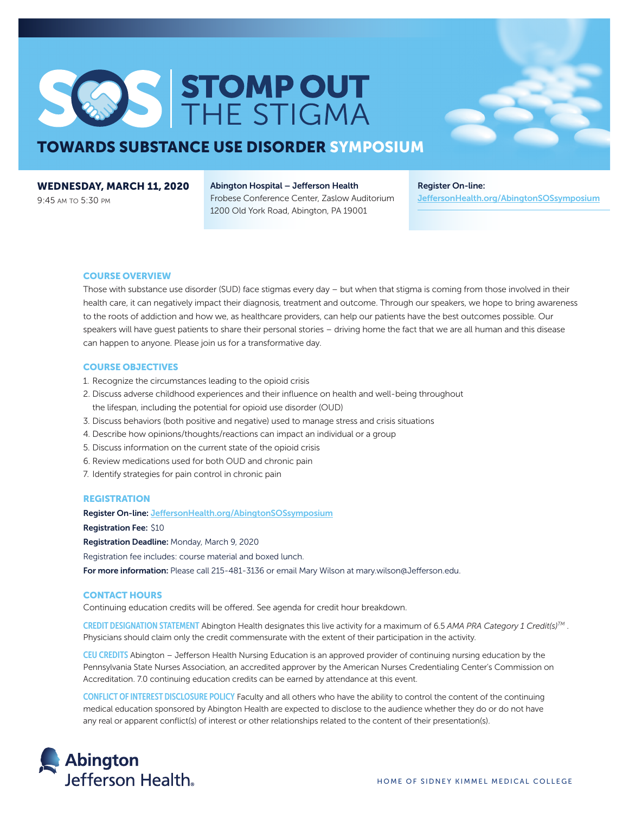# SOS STOMPOUT

### **TOWARDS SUBSTANCE USE DISORDER SYMPOSIUM**

#### **WEDNESDAY, MARCH 11, 2020**

9:45 AM TO 5:30 PM

#### **Abington Hospital – Jefferson Health** Frobese Conference Center, Zaslow Auditorium 1200 Old York Road, Abington, PA 19001

**Register On-line: [JeffersonHealth.org/AbingtonSOSsymposium](https://www.jeffersonhealth.org/AbingtonSOSsymposium)**

#### **COURSE OVERVIEW**

Those with substance use disorder (SUD) face stigmas every day – but when that stigma is coming from those involved in their health care, it can negatively impact their diagnosis, treatment and outcome. Through our speakers, we hope to bring awareness to the roots of addiction and how we, as healthcare providers, can help our patients have the best outcomes possible. Our speakers will have guest patients to share their personal stories – driving home the fact that we are all human and this disease can happen to anyone. Please join us for a transformative day.

#### **COURSE OBJECTIVES**

- 1. Recognize the circumstances leading to the opioid crisis
- 2. Discuss adverse childhood experiences and their influence on health and well-being throughout the lifespan, including the potential for opioid use disorder (OUD)
- 3. Discuss behaviors (both positive and negative) used to manage stress and crisis situations
- 4. Describe how opinions/thoughts/reactions can impact an individual or a group
- 5. Discuss information on the current state of the opioid crisis
- 6. Review medications used for both OUD and chronic pain
- 7. Identify strategies for pain control in chronic pain

#### **REGISTRATION**

**Register On-line: [JeffersonHealth.org/AbingtonSOSsymposium](https://www.jeffersonhealth.org/AbingtonSOSsymposium)**

**Registration Fee:** \$10

**Registration Deadline:** Monday, March 9, 2020

Registration fee includes: course material and boxed lunch.

For more information: Please call 215-481-3136 or email Mary Wilson at [mary.wilson@Jefferson.edu.](mailto:mary.wilson@Jefferson.edu)

#### **CONTACT HOURS**

Continuing education credits will be offered. See agenda for credit hour breakdown.

CREDIT DESIGNATION STATEMENT Abington Health designates this live activity for a maximum of 6.5 *AMA PRA Category 1 Credit(s)TM* . Physicians should claim only the credit commensurate with the extent of their participation in the activity.

CEU CREDITS Abington – Jefferson Health Nursing Education is an approved provider of continuing nursing education by the Pennsylvania State Nurses Association, an accredited approver by the American Nurses Credentialing Center's Commission on Accreditation. 7.0 continuing education credits can be earned by attendance at this event.

CONFLICT OF INTEREST DISCLOSURE POLICY Faculty and all others who have the ability to control the content of the continuing medical education sponsored by Abington Health are expected to disclose to the audience whether they do or do not have any real or apparent conflict(s) of interest or other relationships related to the content of their presentation(s).